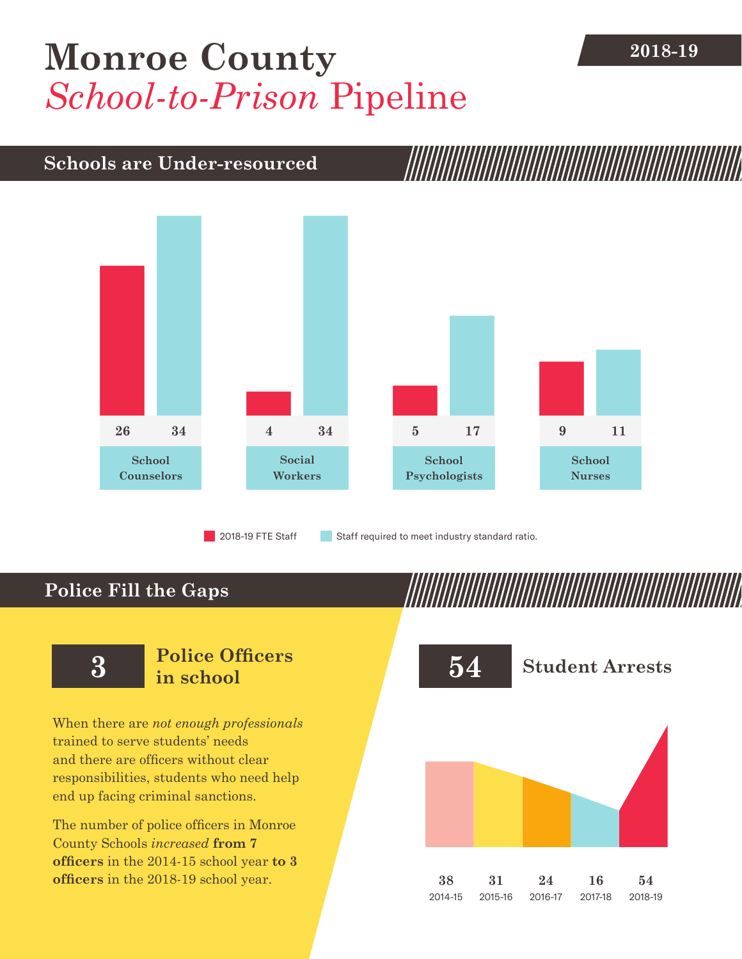# **[Monroe County](DBF_County)** 2018-19 *School-to-Prison* Pipeline

### **Schools are Under-resourced**



2018-19 FTE Staff **Staff required to meet industry standard ratio.** 

### **Police Fill the Gaps**

When there are *not enough professionals* trained to serve students' needs and there are officers without clear responsibilities, students who need help end up facing criminal sanctions.

The number of police officers in [Monroe](DBF_County)  [County](DBF_County) Schools *increased* **from [7](DBF_PO1415) officers** in the 2014-15 school year **to [3](DBF_PO) officers** in the 2018-19 school year.